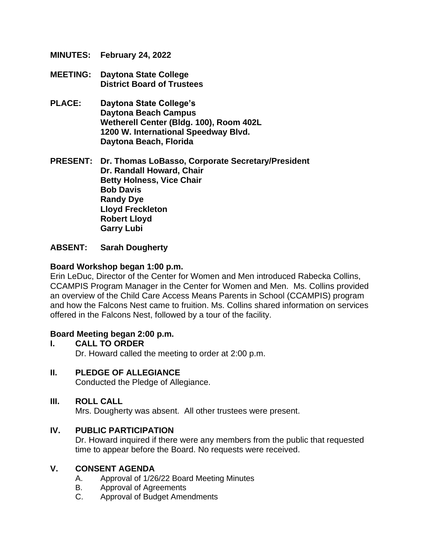- **MINUTES: February 24, 2022**
- **MEETING: Daytona State College District Board of Trustees**
- **PLACE: Daytona State College's Daytona Beach Campus Wetherell Center (Bldg. 100), Room 402L 1200 W. International Speedway Blvd. Daytona Beach, Florida**

**PRESENT: Dr. Thomas LoBasso, Corporate Secretary/President Dr. Randall Howard, Chair Betty Holness, Vice Chair Bob Davis Randy Dye Lloyd Freckleton Robert Lloyd Garry Lubi**

#### **ABSENT: Sarah Dougherty**

#### **Board Workshop began 1:00 p.m.**

Erin LeDuc, Director of the Center for Women and Men introduced Rabecka Collins, CCAMPIS Program Manager in the Center for Women and Men. Ms. Collins provided an overview of the Child Care Access Means Parents in School (CCAMPIS) program and how the Falcons Nest came to fruition. Ms. Collins shared information on services offered in the Falcons Nest, followed by a tour of the facility.

#### **Board Meeting began 2:00 p.m.**

- **I. CALL TO ORDER** Dr. Howard called the meeting to order at 2:00 p.m.
- **II. PLEDGE OF ALLEGIANCE** Conducted the Pledge of Allegiance.

## **III. ROLL CALL**

Mrs. Dougherty was absent. All other trustees were present.

#### **IV. PUBLIC PARTICIPATION**

Dr. Howard inquired if there were any members from the public that requested time to appear before the Board. No requests were received.

#### **V. CONSENT AGENDA**

- A. Approval of 1/26/22 Board Meeting Minutes
- B. Approval of Agreements
- C. Approval of Budget Amendments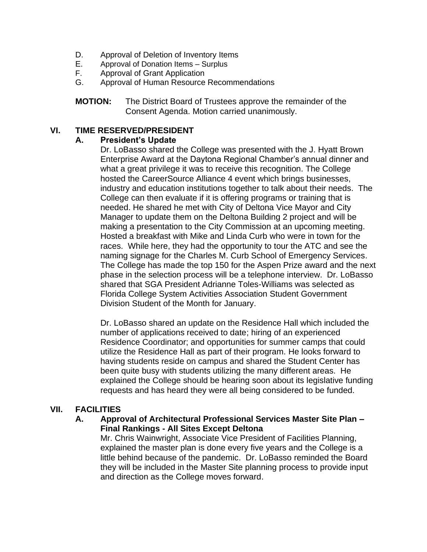- D. Approval of Deletion of Inventory Items
- E. Approval of Donation Items Surplus
- F. Approval of Grant Application
- G. Approval of Human Resource Recommendations
- **MOTION:** The District Board of Trustees approve the remainder of the Consent Agenda. Motion carried unanimously.

#### **VI. TIME RESERVED/PRESIDENT**

#### **A. President's Update**

Dr. LoBasso shared the College was presented with the J. Hyatt Brown Enterprise Award at the Daytona Regional Chamber's annual dinner and what a great privilege it was to receive this recognition. The College hosted the CareerSource Alliance 4 event which brings businesses, industry and education institutions together to talk about their needs. The College can then evaluate if it is offering programs or training that is needed. He shared he met with City of Deltona Vice Mayor and City Manager to update them on the Deltona Building 2 project and will be making a presentation to the City Commission at an upcoming meeting. Hosted a breakfast with Mike and Linda Curb who were in town for the races. While here, they had the opportunity to tour the ATC and see the naming signage for the Charles M. Curb School of Emergency Services. The College has made the top 150 for the Aspen Prize award and the next phase in the selection process will be a telephone interview. Dr. LoBasso shared that SGA President Adrianne Toles-Williams was selected as Florida College System Activities Association Student Government Division Student of the Month for January.

Dr. LoBasso shared an update on the Residence Hall which included the number of applications received to date; hiring of an experienced Residence Coordinator; and opportunities for summer camps that could utilize the Residence Hall as part of their program. He looks forward to having students reside on campus and shared the Student Center has been quite busy with students utilizing the many different areas. He explained the College should be hearing soon about its legislative funding requests and has heard they were all being considered to be funded.

## **VII. FACILITIES**

## **A. Approval of Architectural Professional Services Master Site Plan – Final Rankings - All Sites Except Deltona**

Mr. Chris Wainwright, Associate Vice President of Facilities Planning, explained the master plan is done every five years and the College is a little behind because of the pandemic. Dr. LoBasso reminded the Board they will be included in the Master Site planning process to provide input and direction as the College moves forward.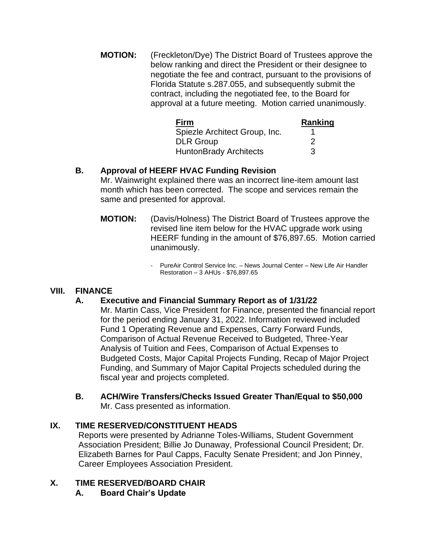**MOTION:** (Freckleton/Dye) The District Board of Trustees approve the below ranking and direct the President or their designee to negotiate the fee and contract, pursuant to the provisions of Florida Statute s.287.055, and subsequently submit the contract, including the negotiated fee, to the Board for approval at a future meeting. Motion carried unanimously.

| <b>Firm</b>                   | Ranking |
|-------------------------------|---------|
| Spiezle Architect Group, Inc. |         |
| <b>DLR Group</b>              | '2      |
| <b>HuntonBrady Architects</b> | З       |

# **B. Approval of HEERF HVAC Funding Revision**

Mr. Wainwright explained there was an incorrect line-item amount last month which has been corrected. The scope and services remain the same and presented for approval.

- **MOTION:** (Davis/Holness) The District Board of Trustees approve the revised line item below for the HVAC upgrade work using HEERF funding in the amount of \$76,897.65. Motion carried unanimously.
	- PureAir Control Service Inc. News Journal Center New Life Air Handler Restoration – 3 AHUs - \$76,897.65

## **VIII. FINANCE**

## **A. Executive and Financial Summary Report as of 1/31/22**

Mr. Martin Cass, Vice President for Finance, presented the financial report for the period ending January 31, 2022. Information reviewed included Fund 1 Operating Revenue and Expenses, Carry Forward Funds, Comparison of Actual Revenue Received to Budgeted, Three-Year Analysis of Tuition and Fees, Comparison of Actual Expenses to Budgeted Costs, Major Capital Projects Funding, Recap of Major Project Funding, and Summary of Major Capital Projects scheduled during the fiscal year and projects completed.

**B. ACH/Wire Transfers/Checks Issued Greater Than/Equal to \$50,000**  Mr. Cass presented as information.

## **IX. TIME RESERVED/CONSTITUENT HEADS**

Reports were presented by Adrianne Toles-Williams, Student Government Association President; Billie Jo Dunaway, Professional Council President; Dr. Elizabeth Barnes for Paul Capps, Faculty Senate President; and Jon Pinney, Career Employees Association President.

## **X. TIME RESERVED/BOARD CHAIR**

**A. Board Chair's Update**